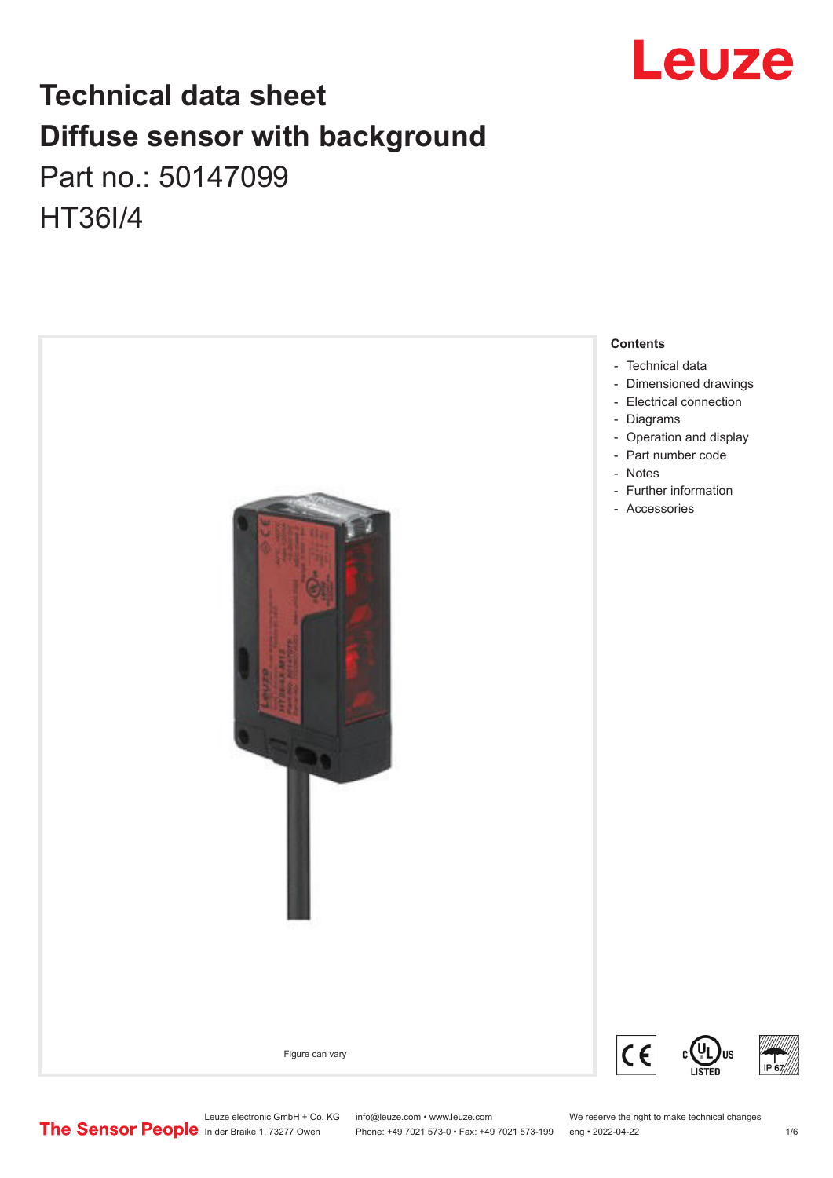

# **Technical data sheet Diffuse sensor with background**  Part no.: 50147099 HT36I/4



Leuze electronic GmbH + Co. KG info@leuze.com • www.leuze.com We reserve the right to make technical changes<br>
The Sensor People in der Braike 1, 73277 Owen Phone: +49 7021 573-0 • Fax: +49 7021 573-199 eng • 2022-04-22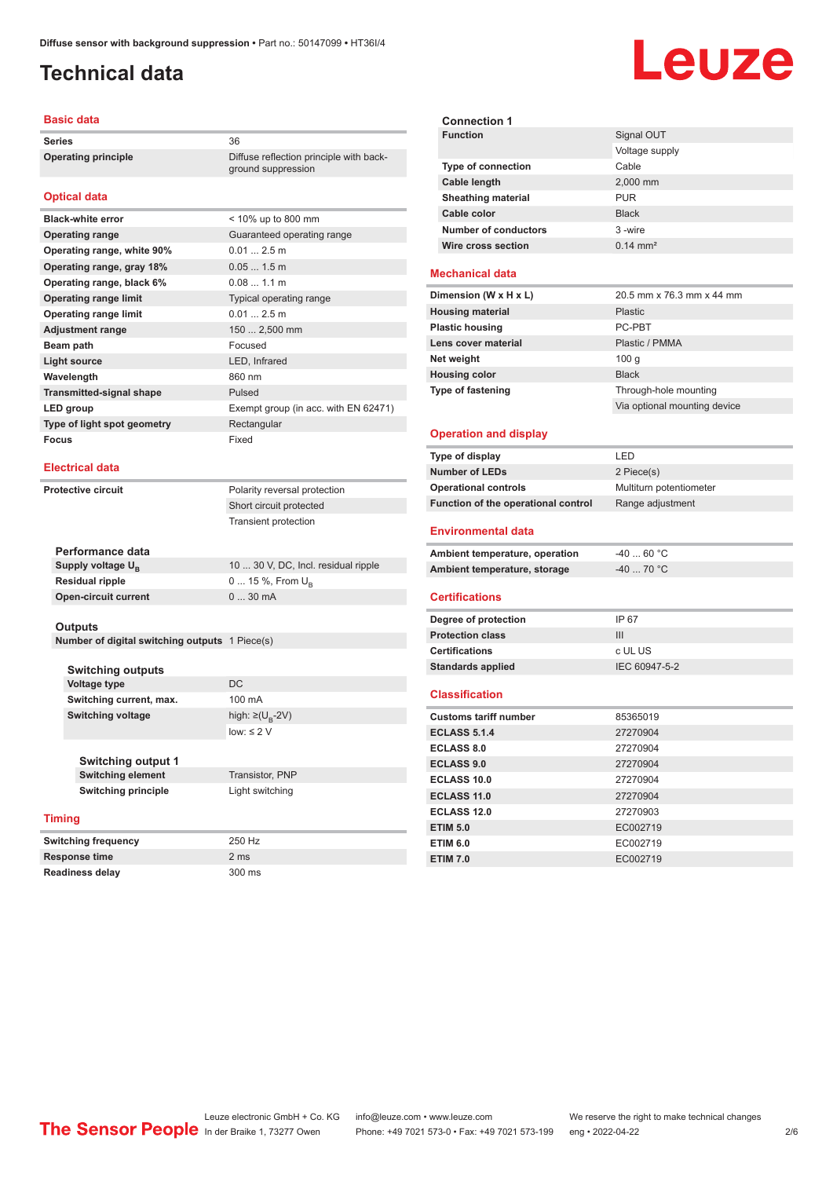# <span id="page-1-0"></span>**Technical data**

### **Basic data**

**Series** 36 **Operating principle** Diffuse reflection principle with back-

### **Optical data**

| <b>Black-white error</b>        | < 10% up to 800 mm                   |
|---------------------------------|--------------------------------------|
| <b>Operating range</b>          | Guaranteed operating range           |
| Operating range, white 90%      | 0.012.5m                             |
| Operating range, gray 18%       | $0.051.5$ m                          |
| Operating range, black 6%       | 0.081.1 m                            |
| <b>Operating range limit</b>    | Typical operating range              |
| <b>Operating range limit</b>    | 0.012.5m                             |
| <b>Adjustment range</b>         | 150  2,500 mm                        |
| Beam path                       | Focused                              |
| Light source                    | LED, Infrared                        |
| Wavelength                      | 860 nm                               |
| <b>Transmitted-signal shape</b> | Pulsed                               |
| LED group                       | Exempt group (in acc. with EN 62471) |
| Type of light spot geometry     | Rectangular                          |
| Focus                           | Fixed                                |

### **Electrical data**

**Protective circuit** Polarity reversal protection

Short circuit protected Transient protection

ground suppression

| 10  30 V, DC, Incl. residual ripple |
|-------------------------------------|
| $0 15 \%$ , From $U_{p}$            |
| $030$ mA                            |
|                                     |

### **Outputs**

**Number of digital switching outputs** 1 Piece(s)

**Switching outputs Voltage type** DC **Switching current, max.** 100 mA **Switching voltage** 

**Switching output 1**

### **Timing**

**Switching frequency** 250 Hz **Response time** 2 ms **Readiness delay** 300 ms

high:  $\geq (U_B - 2V)$ low: ≤ 2  $V$ 

**Switching element** Transistor, PNP **Switching principle** Light switching

Leuze **Signal OUT** Voltage supply

| <b>Type of connection</b>   | Cable               |
|-----------------------------|---------------------|
| Cable length                | 2,000 mm            |
| <b>Sheathing material</b>   | <b>PUR</b>          |
| Cable color                 | <b>Black</b>        |
| <b>Number of conductors</b> | 3-wire              |
| Wire cross section          | $0.14 \text{ mm}^2$ |

### **Mechanical data**

**Connection 1**

| 20.5 mm x 76.3 mm x 44 mm    |
|------------------------------|
| <b>Plastic</b>               |
| PC-PBT                       |
| Plastic / PMMA               |
| 100q                         |
| <b>Black</b>                 |
| Through-hole mounting        |
| Via optional mounting device |
|                              |

### **Operation and display**

| Type of display                     | I FD                    |
|-------------------------------------|-------------------------|
| <b>Number of LEDs</b>               | 2 Piece(s)              |
| <b>Operational controls</b>         | Multiturn potentiometer |
| Function of the operational control | Range adjustment        |

### **Environmental data**

| Ambient temperature, operation | -40  60 °C |
|--------------------------------|------------|
| Ambient temperature, storage   | -40  70 °C |

### **Certifications**

| Degree of protection     | IP 67         |
|--------------------------|---------------|
| <b>Protection class</b>  | Ш             |
| <b>Certifications</b>    | c UL US       |
| <b>Standards applied</b> | IEC 60947-5-2 |
|                          |               |

### **Classification**

| <b>Customs tariff number</b> | 85365019 |  |
|------------------------------|----------|--|
| <b>ECLASS 5.1.4</b>          | 27270904 |  |
| <b>ECLASS 8.0</b>            | 27270904 |  |
| <b>ECLASS 9.0</b>            | 27270904 |  |
| <b>ECLASS 10.0</b>           | 27270904 |  |
| ECLASS 11.0                  | 27270904 |  |
| ECLASS 12.0                  | 27270903 |  |
| <b>ETIM 5.0</b>              | EC002719 |  |
| <b>ETIM 6.0</b>              | EC002719 |  |
| <b>ETIM 7.0</b>              | EC002719 |  |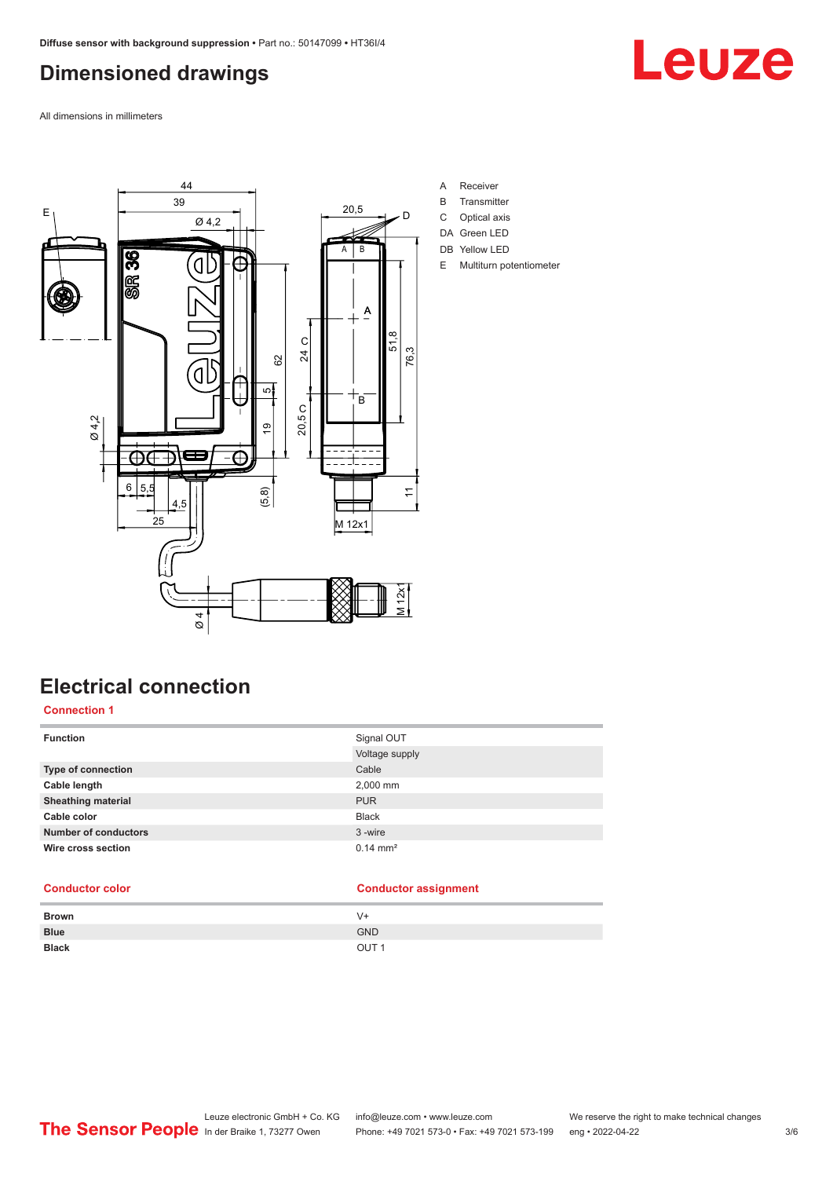# <span id="page-2-0"></span>**Dimensioned drawings**

Leuze

All dimensions in millimeters



**Electrical connection**

## **Connection 1**

| <b>Function</b>             | Signal OUT          |
|-----------------------------|---------------------|
|                             | Voltage supply      |
| <b>Type of connection</b>   | Cable               |
| Cable length                | 2,000 mm            |
| <b>Sheathing material</b>   | <b>PUR</b>          |
| Cable color                 | <b>Black</b>        |
| <b>Number of conductors</b> | 3-wire              |
| Wire cross section          | $0.14 \text{ mm}^2$ |

## **Conductor color Conductor assignment**

| <b>Brown</b> | V+               |
|--------------|------------------|
| <b>Blue</b>  | <b>GND</b>       |
| <b>Black</b> | OUT <sub>1</sub> |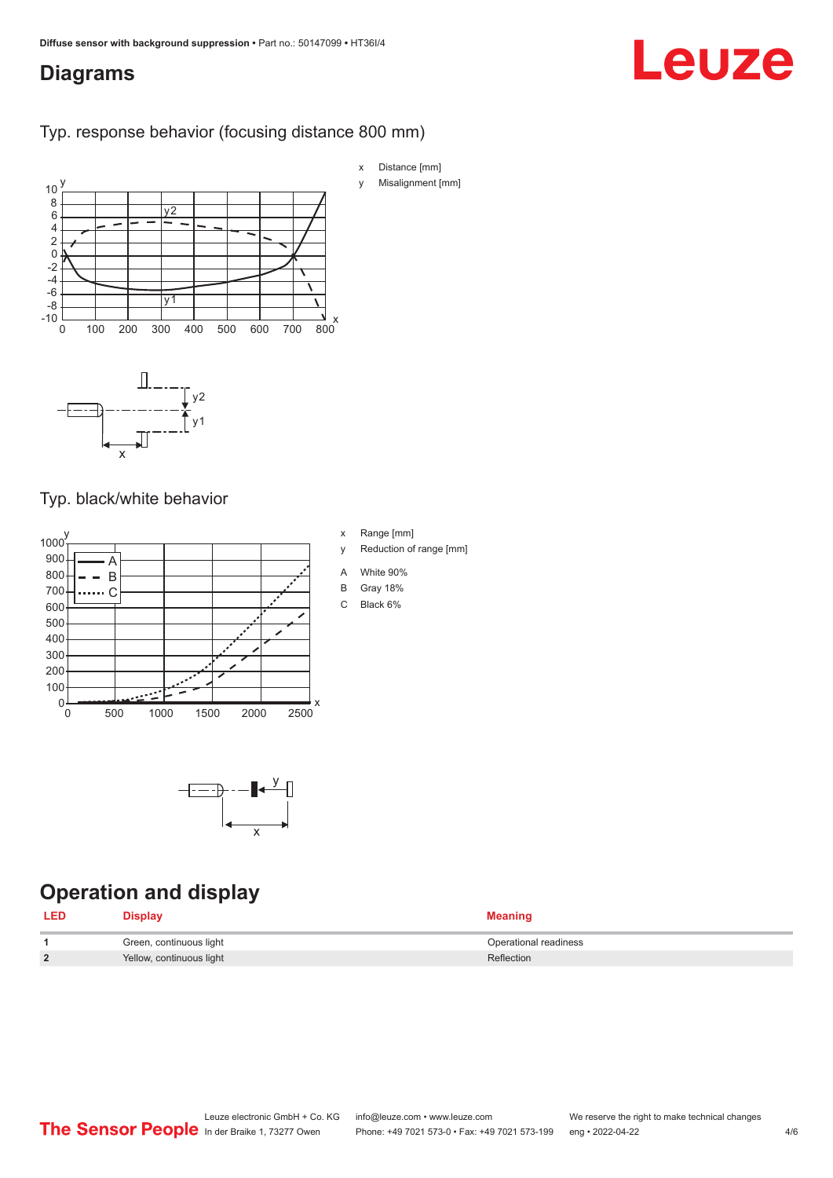# <span id="page-3-0"></span>**Diagrams**

# Leuze

## Typ. response behavior (focusing distance 800 mm)



# Typ. black/white behavior





# **Operation and display**

| <b>LED</b>     | <b>Display</b>           | <b>Meaning</b>        |
|----------------|--------------------------|-----------------------|
|                | Green, continuous light  | Operational readiness |
| $\overline{2}$ | Yellow, continuous light | Reflection            |

x Range [mm]

- y Reduction of range [mm]
- A White 90%
- B Gray 18%
- C Black 6%

Leuze electronic GmbH + Co. KG info@leuze.com • www.leuze.com We reserve the right to make technical changes<br>
The Sensor People in der Braike 1, 73277 Owen Phone: +49 7021 573-0 • Fax: +49 7021 573-199 eng • 2022-04-22 Phone: +49 7021 573-0 • Fax: +49 7021 573-199 eng • 2022-04-22 4/6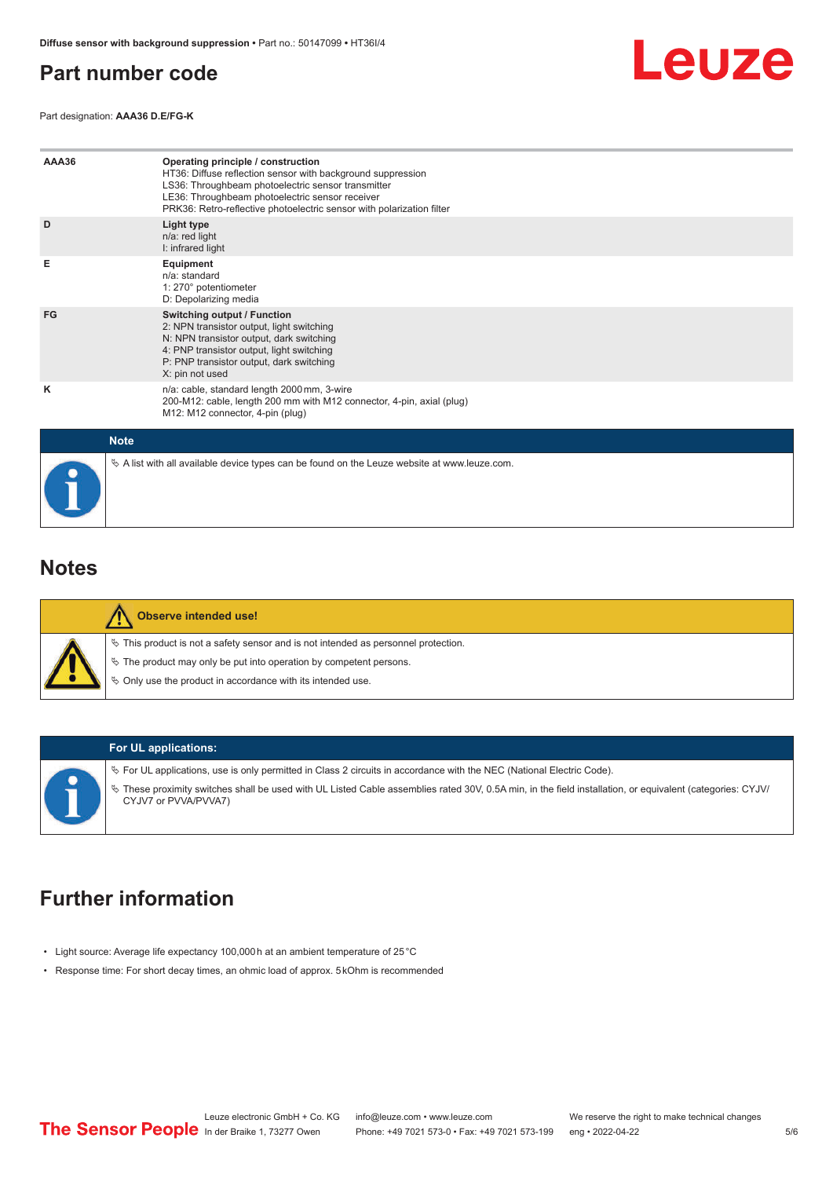# <span id="page-4-0"></span>**Part number code**

Leuze

Part designation: **AAA36 D.E/FG-K**

| AAA36       | Operating principle / construction<br>HT36: Diffuse reflection sensor with background suppression<br>LS36: Throughbeam photoelectric sensor transmitter<br>LE36: Throughbeam photoelectric sensor receiver<br>PRK36: Retro-reflective photoelectric sensor with polarization filter |
|-------------|-------------------------------------------------------------------------------------------------------------------------------------------------------------------------------------------------------------------------------------------------------------------------------------|
| D           | Light type<br>n/a: red light<br>I: infrared light                                                                                                                                                                                                                                   |
| Е           | Equipment<br>$n/a$ : standard<br>1: 270° potentiometer<br>D: Depolarizing media                                                                                                                                                                                                     |
| FG          | Switching output / Function<br>2: NPN transistor output, light switching<br>N: NPN transistor output, dark switching<br>4: PNP transistor output, light switching<br>P: PNP transistor output, dark switching<br>X: pin not used                                                    |
| κ           | n/a: cable, standard length 2000 mm, 3-wire<br>200-M12: cable, length 200 mm with M12 connector, 4-pin, axial (plug)<br>M12: M12 connector, 4-pin (plug)                                                                                                                            |
| <b>Note</b> |                                                                                                                                                                                                                                                                                     |
|             | $\&$ A list with all available device types can be found on the Leuze website at www.leuze.com.                                                                                                                                                                                     |

# **Notes**

| <b>Observe intended use!</b>                                                                                                                                                                                                  |
|-------------------------------------------------------------------------------------------------------------------------------------------------------------------------------------------------------------------------------|
| $\%$ This product is not a safety sensor and is not intended as personnel protection.<br>₹ The product may only be put into operation by competent persons.<br>$\%$ Only use the product in accordance with its intended use. |

### **For UL applications:**

ª For UL applications, use is only permitted in Class 2 circuits in accordance with the NEC (National Electric Code). ª These proximity switches shall be used with UL Listed Cable assemblies rated 30V, 0.5A min, in the field installation, or equivalent (categories: CYJV/ CYJV7 or PVVA/PVVA7)

# **Further information**

- Light source: Average life expectancy 100,000 h at an ambient temperature of 25 °C
- Response time: For short decay times, an ohmic load of approx. 5 kOhm is recommended